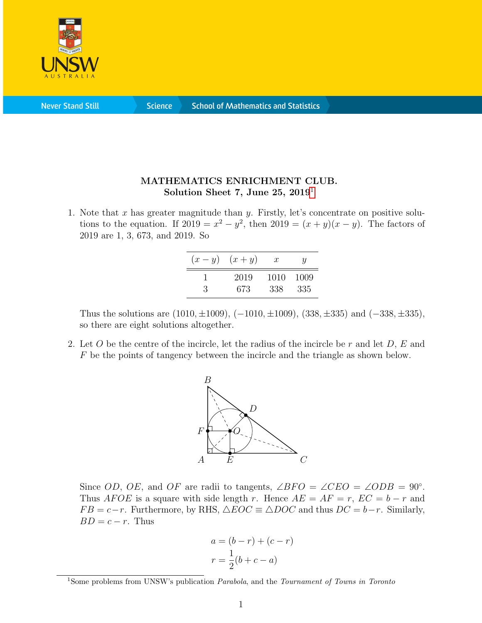

**Science** 

## MATHEMATICS ENRICHMENT CLUB. Solution Sheet 7, June 25,  $2019<sup>1</sup>$  $2019<sup>1</sup>$  $2019<sup>1</sup>$

1. Note that x has greater magnitude than y. Firstly, let's concentrate on positive solutions to the equation. If  $2019 = x^2 - y^2$ , then  $2019 = (x + y)(x - y)$ . The factors of 2019 are 1, 3, 673, and 2019. So

| $(x-y)$ | $(x+y)$ | $\boldsymbol{x}$ | U     |
|---------|---------|------------------|-------|
| 3       | 2019    | 1010             | -1009 |
|         | 673     | 338              | 335   |

Thus the solutions are  $(1010, \pm 1009)$ ,  $(-1010, \pm 1009)$ ,  $(338, \pm 335)$  and  $(-338, \pm 335)$ , so there are eight solutions altogether.

2. Let O be the centre of the incircle, let the radius of the incircle be r and let  $D, E$  and F be the points of tangency between the incircle and the triangle as shown below.



Since OD, OE, and OF are radii to tangents,  $\angle BFO = \angle CEO = \angle ODB = 90^\circ$ . Thus AFOE is a square with side length r. Hence  $AE = AF = r$ ,  $EC = b - r$  and  $FB = c-r$ . Furthermore, by RHS,  $\triangle EOC \equiv \triangle DOC$  and thus  $DC = b-r$ . Similarly,  $BD = c - r$ . Thus

$$
a = (b - r) + (c - r)
$$

$$
r = \frac{1}{2}(b + c - a)
$$

<span id="page-0-0"></span><sup>&</sup>lt;sup>1</sup>Some problems from UNSW's publication *Parabola*, and the *Tournament of Towns in Toronto*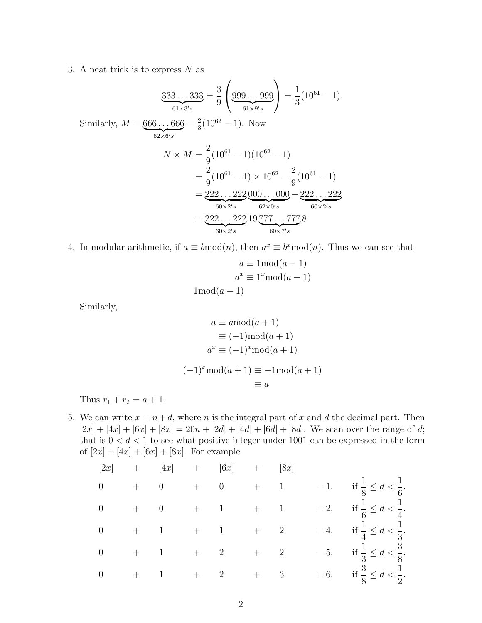3. A neat trick is to express  $N$  as

$$
\underbrace{333\ldots333}_{61\times3's} = \frac{3}{9} \left( \underbrace{999\ldots999}_{61\times9's} \right) = \frac{1}{3} (10^{61} - 1).
$$
\nSimilarly,  $M = \underbrace{666\ldots666}_{62\times6's} = \frac{2}{3} (10^{62} - 1).$  Now\n
$$
N \times M = \frac{2}{9} (10^{61} - 1) (10^{62} - 1)
$$
\n
$$
= \frac{2}{9} (10^{61} - 1) \times 10^{62} - \frac{2}{9} (10^{61} - 1)
$$
\n
$$
= \underbrace{222\ldots222}_{60\times2's} \underbrace{000\ldots000}_{62\times0's} - \underbrace{222\ldots222}_{60\times2's}
$$
\n
$$
= \underbrace{222\ldots222}_{60\times2's} 19 \underbrace{777\ldots777}_{60\times7's} 8.
$$

4. In modular arithmetic, if  $a \equiv b \mod(n)$ , then  $a^x \equiv b^x \mod(n)$ . Thus we can see that

$$
a \equiv 1 \mod (a-1)
$$

$$
a^x \equiv 1^x \mod (a-1)
$$

$$
1 \mod (a-1)
$$

Similarly,

$$
a \equiv a \mod (a+1)
$$
  
\n
$$
\equiv (-1) \mod (a+1)
$$
  
\n
$$
a^x \equiv (-1)^x \mod (a+1)
$$
  
\n
$$
(-1)^x \mod (a+1) \equiv -1 \mod (a+1)
$$
  
\n
$$
\equiv a
$$

Thus  $r_1 + r_2 = a + 1$ .

5. We can write  $x = n+d$ , where n is the integral part of x and d the decimal part. Then  $[2x] + [4x] + [6x] + [8x] = 20n + [2d] + [4d] + [6d] + [8d]$ . We scan over the range of d; that is  $0 < d < 1$  to see what positive integer under 1001 can be expressed in the form of  $[2x] + [4x] + [6x] + [8x]$ . For example

|                                           | $[2x]$ + $[4x]$ + $[6x]$ + $[8x]$                                   |                   |                                                   |  |                                              |
|-------------------------------------------|---------------------------------------------------------------------|-------------------|---------------------------------------------------|--|----------------------------------------------|
| $\overline{0}$                            | $+ \qquad 0 \qquad \  \  + \qquad 0 \qquad \  \  + \qquad 1$        |                   |                                                   |  | $= 1,$ if $\frac{1}{8} \le d < \frac{1}{6}.$ |
|                                           | $\begin{matrix} 0 & & + & & 0 & & + & & 1 & & + & & 1 \end{matrix}$ |                   |                                                   |  | $= 2,$ if $\frac{1}{6} \le d < \frac{1}{4}.$ |
|                                           | $\begin{matrix} 0 & & + & & 1 & & + & & 1 & & + & & 2 \end{matrix}$ |                   |                                                   |  | $= 4,$ if $\frac{1}{4} \le d < \frac{1}{3}.$ |
| $\begin{matrix} 0 & & + & 1 \end{matrix}$ |                                                                     | $+\qquad \quad 2$ | $\begin{matrix} + & \phantom{+} & 2 \end{matrix}$ |  | $= 5,$ if $\frac{1}{3} \le d < \frac{3}{8}.$ |
|                                           | $\begin{matrix} 0 & & + & & 1 & & + & & 2 & & + & & 3 \end{matrix}$ |                   |                                                   |  | $= 6,$ if $\frac{3}{8} \le d < \frac{1}{2}.$ |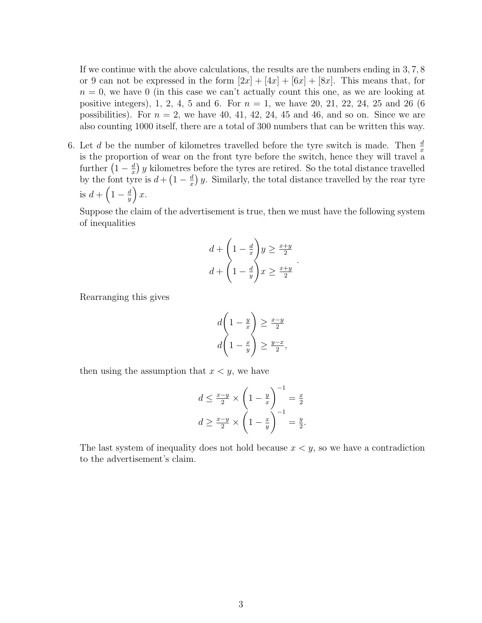If we continue with the above calculations, the results are the numbers ending in 3, 7, 8 or 9 can not be expressed in the form  $[2x] + [4x] + [6x] + [8x]$ . This means that, for  $n = 0$ , we have 0 (in this case we can't actually count this one, as we are looking at positive integers), 1, 2, 4, 5 and 6. For  $n = 1$ , we have 20, 21, 22, 24, 25 and 26 (6) possibilities). For  $n = 2$ , we have 40, 41, 42, 24, 45 and 46, and so on. Since we are also counting 1000 itself, there are a total of 300 numbers that can be written this way.

6. Let d be the number of kilometres travelled before the tyre switch is made. Then  $\frac{d}{dx}$ is the proportion of wear on the front tyre before the switch, hence they will travel a further  $\left(1-\frac{d}{x}\right)$  $\frac{d}{dx}$ ) y kilometres before the tyres are retired. So the total distance travelled by the font tyre is  $d + \left(1 - \frac{d}{dx}\right)$  $\frac{d}{dx}$ ) y. Similarly, the total distance travelled by the rear tyre is  $d + \left(1 - \frac{d}{u}\right)$  $\frac{d}{y}$ ) x.

Suppose the claim of the advertisement is true, then we must have the following system of inequalities

$$
d + \left(1 - \frac{d}{x}\right)y \ge \frac{x+y}{2}
$$

$$
d + \left(1 - \frac{d}{y}\right)x \ge \frac{x+y}{2}
$$

.

Rearranging this gives

$$
d\left(1 - \frac{y}{x}\right) \ge \frac{x - y}{2}
$$

$$
d\left(1 - \frac{x}{y}\right) \ge \frac{y - x}{2},
$$

then using the assumption that  $x < y$ , we have

$$
d \le \frac{x-y}{2} \times \left(1 - \frac{y}{x}\right)^{-1} = \frac{x}{2}
$$

$$
d \ge \frac{x-y}{2} \times \left(1 - \frac{x}{y}\right)^{-1} = \frac{y}{2}.
$$

The last system of inequality does not hold because  $x \leq y$ , so we have a contradiction to the advertisement's claim.